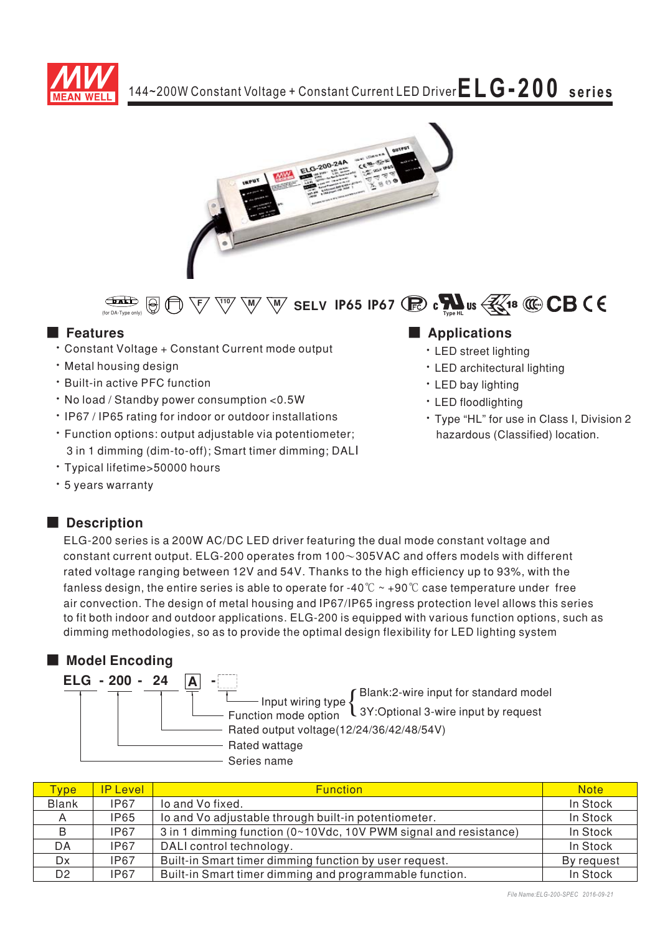



 $\overbrace{\text{max}}_{\text{top of } \text{D, F}}$   $\overline{\text{top}}$   $\overline{\text{top}}$   $\overline{\text{top}}$   $\overline{\text{top}}$   $\overline{\text{top}}$   $\overline{\text{top}}$  **SELV IP65 IP67**  $\overline{\text{top}}$  **c**  $\overline{\text{top}}$  **us**  $\overline{\text{min}}$ 

## ■ Features

- Constant Voltage + Constant Current mode output
- . Metal housing design
- Built-in active PFC function
- No load / Standby power consumption < 0.5W
- IP67 / IP65 rating for indoor or outdoor installations
- Function options: output adjustable via potentiometer; 3 in 1 dimming (dim-to-off); Smart timer dimming; DALI
- \* Typical lifetime>50000 hours
- \* 5 years warranty

### ■ **Description**

## ELG-200 series is a 200W AC/DC LED driver featuring the dual mode constant voltage and constant current output. ELG-200 operates from 100 $\sim$ 305VAC and offers models with different rated voltage ranging between 12V and 54V. Thanks to the high efficiency up to 93%, with the fanless design, the entire series is able to operate for -40°C  $\sim$  +90°C case temperature under <code>free</code> air convection. The design of metal housing and IP67/IP65 ingress protection level allows this series to fit both indoor and outdoor applications. ELG-200 is equipped with various function options, such as

dimming methodologies, so as to provide the optimal design flexibility for LED lighting system

### ■ **Model Encoding**

| ELG - 200 - 24 |                                                                 |
|----------------|-----------------------------------------------------------------|
|                | Blank:2-wire input for standard model<br>Input wiring type $\{$ |
|                | L 3Y: Optional 3-wire input by request<br>Function mode option  |
|                | Rated output voltage(12/24/36/42/48/54V)                        |
|                | Rated wattage                                                   |
|                | Series name                                                     |

| <b>Type</b>    | <b>IP Level</b> | <b>Function</b>                                                  | <b>Note</b> |
|----------------|-----------------|------------------------------------------------------------------|-------------|
| <b>Blank</b>   | <b>IP67</b>     | lo and Vo fixed.                                                 | In Stock    |
|                | <b>IP65</b>     | lo and Vo adjustable through built-in potentiometer.             | In Stock    |
| B              | <b>IP67</b>     | 3 in 1 dimming function (0~10Vdc, 10V PWM signal and resistance) | In Stock    |
| DA.            | <b>IP67</b>     | DALI control technology.                                         | In Stock    |
| Dx             | <b>IP67</b>     | Built-in Smart timer dimming function by user request.           | By request  |
| D <sub>2</sub> | <b>IP67</b>     | Built-in Smart timer dimming and programmable function.          | In Stock    |

## **Applications**

- · LED street lighting
- LED architectural lighting
- · LED bay lighting
- · LED floodlighting
- \* Type "HL" for use in Class I, Division 2 hazardous (Classified) location.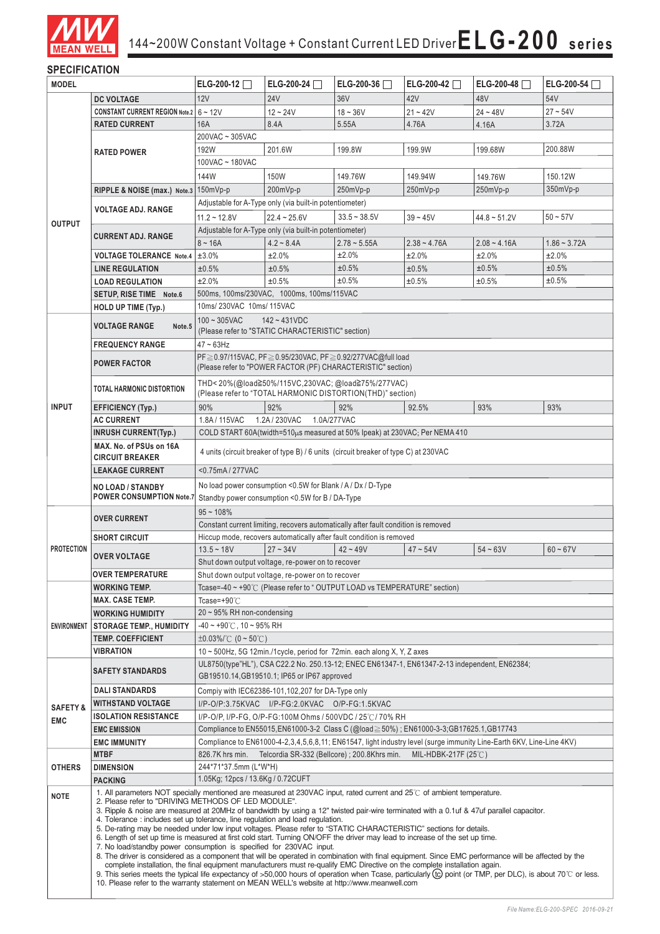

### **SPECIFICATION**

| <b>MODEL</b>       |                                                                                                                                                                                                                                                                                                                                                                                                                                                                                                                                                                                                                                                                                                                                                                                                                                                                                                                                                                                                                                                                                     | ELG-200-12                                                                                                                                                          | ELG-200-24 $\Box$                                           | ELG-200-36 $\Box$                                                                                | ELG-200-42 $\Box$        | ELG-200-48     | $ELG-200-54$   |  |
|--------------------|-------------------------------------------------------------------------------------------------------------------------------------------------------------------------------------------------------------------------------------------------------------------------------------------------------------------------------------------------------------------------------------------------------------------------------------------------------------------------------------------------------------------------------------------------------------------------------------------------------------------------------------------------------------------------------------------------------------------------------------------------------------------------------------------------------------------------------------------------------------------------------------------------------------------------------------------------------------------------------------------------------------------------------------------------------------------------------------|---------------------------------------------------------------------------------------------------------------------------------------------------------------------|-------------------------------------------------------------|--------------------------------------------------------------------------------------------------|--------------------------|----------------|----------------|--|
|                    | <b>DC VOLTAGE</b>                                                                                                                                                                                                                                                                                                                                                                                                                                                                                                                                                                                                                                                                                                                                                                                                                                                                                                                                                                                                                                                                   | 12V                                                                                                                                                                 | <b>24V</b>                                                  | 36 <sub>V</sub>                                                                                  | 42V                      | 48V            | 54V            |  |
|                    | <b>CONSTANT CURRENT REGION Note.2</b> 6 ~ 12V                                                                                                                                                                                                                                                                                                                                                                                                                                                                                                                                                                                                                                                                                                                                                                                                                                                                                                                                                                                                                                       |                                                                                                                                                                     | $12 - 24V$                                                  | $18 - 36V$                                                                                       | $21 - 42V$               | $24 - 48V$     | $27 - 54V$     |  |
|                    | <b>RATED CURRENT</b>                                                                                                                                                                                                                                                                                                                                                                                                                                                                                                                                                                                                                                                                                                                                                                                                                                                                                                                                                                                                                                                                | 16A                                                                                                                                                                 | 8.4A                                                        | 5.55A                                                                                            | 4.76A                    | 4.16A          | 3.72A          |  |
|                    |                                                                                                                                                                                                                                                                                                                                                                                                                                                                                                                                                                                                                                                                                                                                                                                                                                                                                                                                                                                                                                                                                     | 200VAC ~ 305VAC                                                                                                                                                     |                                                             |                                                                                                  |                          |                |                |  |
|                    | <b>RATED POWER</b>                                                                                                                                                                                                                                                                                                                                                                                                                                                                                                                                                                                                                                                                                                                                                                                                                                                                                                                                                                                                                                                                  | 192W                                                                                                                                                                | 201.6W                                                      | 199.8W                                                                                           | 199.9W                   | 199.68W        | 200.88W        |  |
|                    |                                                                                                                                                                                                                                                                                                                                                                                                                                                                                                                                                                                                                                                                                                                                                                                                                                                                                                                                                                                                                                                                                     | 100VAC ~ 180VAC                                                                                                                                                     |                                                             |                                                                                                  |                          |                |                |  |
|                    |                                                                                                                                                                                                                                                                                                                                                                                                                                                                                                                                                                                                                                                                                                                                                                                                                                                                                                                                                                                                                                                                                     | 144W                                                                                                                                                                |                                                             | 149.76W                                                                                          | 149.94W                  |                | 150.12W        |  |
|                    |                                                                                                                                                                                                                                                                                                                                                                                                                                                                                                                                                                                                                                                                                                                                                                                                                                                                                                                                                                                                                                                                                     |                                                                                                                                                                     | 150W                                                        |                                                                                                  |                          | 149.76W        |                |  |
|                    | RIPPLE & NOISE (max.) Note.3 150mVp-p                                                                                                                                                                                                                                                                                                                                                                                                                                                                                                                                                                                                                                                                                                                                                                                                                                                                                                                                                                                                                                               |                                                                                                                                                                     | 200mVp-p                                                    | 250mVp-p                                                                                         | $250mVp-p$               | 250mVp-p       | $350mVp-p$     |  |
|                    | <b>VOLTAGE ADJ. RANGE</b>                                                                                                                                                                                                                                                                                                                                                                                                                                                                                                                                                                                                                                                                                                                                                                                                                                                                                                                                                                                                                                                           |                                                                                                                                                                     | Adjustable for A-Type only (via built-in potentiometer)     |                                                                                                  |                          |                |                |  |
| <b>OUTPUT</b>      |                                                                                                                                                                                                                                                                                                                                                                                                                                                                                                                                                                                                                                                                                                                                                                                                                                                                                                                                                                                                                                                                                     | $11.2 - 12.8V$                                                                                                                                                      | $22.4 - 25.6V$                                              | $33.5 - 38.5V$                                                                                   | $39 - 45V$               | $44.8 - 51.2V$ | $50 - 57V$     |  |
|                    | <b>CURRENT ADJ. RANGE</b>                                                                                                                                                                                                                                                                                                                                                                                                                                                                                                                                                                                                                                                                                                                                                                                                                                                                                                                                                                                                                                                           |                                                                                                                                                                     | Adjustable for A-Type only (via built-in potentiometer)     |                                                                                                  |                          |                |                |  |
|                    |                                                                                                                                                                                                                                                                                                                                                                                                                                                                                                                                                                                                                                                                                                                                                                                                                                                                                                                                                                                                                                                                                     | $8 - 16A$                                                                                                                                                           | $4.2 - 8.4A$                                                | $2.78 - 5.55A$                                                                                   | $2.38 - 4.76A$           | $2.08 - 4.16A$ | $1.86 - 3.72A$ |  |
|                    | <b>VOLTAGE TOLERANCE Note.4</b>                                                                                                                                                                                                                                                                                                                                                                                                                                                                                                                                                                                                                                                                                                                                                                                                                                                                                                                                                                                                                                                     | ±3.0%                                                                                                                                                               | ±2.0%                                                       | ±2.0%                                                                                            | ±2.0%                    | ±2.0%          | ±2.0%          |  |
|                    | <b>LINE REGULATION</b>                                                                                                                                                                                                                                                                                                                                                                                                                                                                                                                                                                                                                                                                                                                                                                                                                                                                                                                                                                                                                                                              | ±0.5%                                                                                                                                                               | ±0.5%                                                       | ±0.5%                                                                                            | ±0.5%                    | ±0.5%          | ±0.5%          |  |
|                    | <b>LOAD REGULATION</b>                                                                                                                                                                                                                                                                                                                                                                                                                                                                                                                                                                                                                                                                                                                                                                                                                                                                                                                                                                                                                                                              | ±2.0%                                                                                                                                                               | ±0.5%                                                       | ±0.5%                                                                                            | ±0.5%                    | ±0.5%          | ±0.5%          |  |
|                    | <b>SETUP, RISE TIME Note.6</b>                                                                                                                                                                                                                                                                                                                                                                                                                                                                                                                                                                                                                                                                                                                                                                                                                                                                                                                                                                                                                                                      |                                                                                                                                                                     | 500ms, 100ms/230VAC, 1000ms, 100ms/115VAC                   |                                                                                                  |                          |                |                |  |
|                    | <b>HOLD UP TIME (Typ.)</b>                                                                                                                                                                                                                                                                                                                                                                                                                                                                                                                                                                                                                                                                                                                                                                                                                                                                                                                                                                                                                                                          | 10ms/230VAC 10ms/115VAC                                                                                                                                             |                                                             |                                                                                                  |                          |                |                |  |
|                    |                                                                                                                                                                                                                                                                                                                                                                                                                                                                                                                                                                                                                                                                                                                                                                                                                                                                                                                                                                                                                                                                                     | $100 - 305$ VAC                                                                                                                                                     | $142 - 431VDC$                                              |                                                                                                  |                          |                |                |  |
|                    | <b>VOLTAGE RANGE</b><br>Note.5                                                                                                                                                                                                                                                                                                                                                                                                                                                                                                                                                                                                                                                                                                                                                                                                                                                                                                                                                                                                                                                      |                                                                                                                                                                     | (Please refer to "STATIC CHARACTERISTIC" section)           |                                                                                                  |                          |                |                |  |
|                    | <b>FREQUENCY RANGE</b>                                                                                                                                                                                                                                                                                                                                                                                                                                                                                                                                                                                                                                                                                                                                                                                                                                                                                                                                                                                                                                                              | $47 \sim 63$ Hz                                                                                                                                                     |                                                             |                                                                                                  |                          |                |                |  |
|                    |                                                                                                                                                                                                                                                                                                                                                                                                                                                                                                                                                                                                                                                                                                                                                                                                                                                                                                                                                                                                                                                                                     |                                                                                                                                                                     |                                                             | PF ≥ 0.97/115VAC, PF ≥ 0.95/230VAC, PF ≥ 0.92/277VAC@full load                                   |                          |                |                |  |
|                    | <b>POWER FACTOR</b>                                                                                                                                                                                                                                                                                                                                                                                                                                                                                                                                                                                                                                                                                                                                                                                                                                                                                                                                                                                                                                                                 |                                                                                                                                                                     |                                                             | (Please refer to "POWER FACTOR (PF) CHARACTERISTIC" section)                                     |                          |                |                |  |
|                    |                                                                                                                                                                                                                                                                                                                                                                                                                                                                                                                                                                                                                                                                                                                                                                                                                                                                                                                                                                                                                                                                                     |                                                                                                                                                                     |                                                             | THD<20%(@load≧50%/115VC,230VAC; @load≧75%/277VAC)                                                |                          |                |                |  |
|                    | <b>TOTAL HARMONIC DISTORTION</b>                                                                                                                                                                                                                                                                                                                                                                                                                                                                                                                                                                                                                                                                                                                                                                                                                                                                                                                                                                                                                                                    |                                                                                                                                                                     |                                                             | (Please refer to "TOTAL HARMONIC DISTORTION(THD)" section)                                       |                          |                |                |  |
| <b>INPUT</b>       | <b>EFFICIENCY (Typ.)</b>                                                                                                                                                                                                                                                                                                                                                                                                                                                                                                                                                                                                                                                                                                                                                                                                                                                                                                                                                                                                                                                            | 90%                                                                                                                                                                 | 92%                                                         | 92%                                                                                              | 92.5%                    | 93%            | 93%            |  |
|                    | <b>AC CURRENT</b>                                                                                                                                                                                                                                                                                                                                                                                                                                                                                                                                                                                                                                                                                                                                                                                                                                                                                                                                                                                                                                                                   | 1.8A / 115VAC                                                                                                                                                       | 1.2A/230VAC                                                 | 1.0A/277VAC                                                                                      |                          |                |                |  |
|                    | <b>INRUSH CURRENT(Typ.)</b>                                                                                                                                                                                                                                                                                                                                                                                                                                                                                                                                                                                                                                                                                                                                                                                                                                                                                                                                                                                                                                                         |                                                                                                                                                                     |                                                             | COLD START 60A(twidth=510 $\mu$ s measured at 50% Ipeak) at 230VAC; Per NEMA 410                 |                          |                |                |  |
|                    | MAX. No. of PSUs on 16A                                                                                                                                                                                                                                                                                                                                                                                                                                                                                                                                                                                                                                                                                                                                                                                                                                                                                                                                                                                                                                                             |                                                                                                                                                                     |                                                             |                                                                                                  |                          |                |                |  |
|                    | <b>CIRCUIT BREAKER</b>                                                                                                                                                                                                                                                                                                                                                                                                                                                                                                                                                                                                                                                                                                                                                                                                                                                                                                                                                                                                                                                              |                                                                                                                                                                     |                                                             | 4 units (circuit breaker of type B) / 6 units (circuit breaker of type C) at 230VAC              |                          |                |                |  |
|                    | <b>LEAKAGE CURRENT</b>                                                                                                                                                                                                                                                                                                                                                                                                                                                                                                                                                                                                                                                                                                                                                                                                                                                                                                                                                                                                                                                              | <0.75mA/277VAC                                                                                                                                                      |                                                             |                                                                                                  |                          |                |                |  |
|                    |                                                                                                                                                                                                                                                                                                                                                                                                                                                                                                                                                                                                                                                                                                                                                                                                                                                                                                                                                                                                                                                                                     |                                                                                                                                                                     | No load power consumption <0.5W for Blank / A / Dx / D-Type |                                                                                                  |                          |                |                |  |
|                    | <b>NO LOAD / STANDBY</b><br><b>POWER CONSUMPTION Note.7</b>                                                                                                                                                                                                                                                                                                                                                                                                                                                                                                                                                                                                                                                                                                                                                                                                                                                                                                                                                                                                                         |                                                                                                                                                                     | Standby power consumption <0.5W for B / DA-Type             |                                                                                                  |                          |                |                |  |
|                    |                                                                                                                                                                                                                                                                                                                                                                                                                                                                                                                                                                                                                                                                                                                                                                                                                                                                                                                                                                                                                                                                                     | $95 - 108%$                                                                                                                                                         |                                                             |                                                                                                  |                          |                |                |  |
|                    | <b>OVER CURRENT</b>                                                                                                                                                                                                                                                                                                                                                                                                                                                                                                                                                                                                                                                                                                                                                                                                                                                                                                                                                                                                                                                                 |                                                                                                                                                                     |                                                             |                                                                                                  |                          |                |                |  |
|                    |                                                                                                                                                                                                                                                                                                                                                                                                                                                                                                                                                                                                                                                                                                                                                                                                                                                                                                                                                                                                                                                                                     | Constant current limiting, recovers automatically after fault condition is removed<br>Hiccup mode, recovers automatically after fault condition is removed          |                                                             |                                                                                                  |                          |                |                |  |
| <b>PROTECTION</b>  | <b>SHORT CIRCUIT</b>                                                                                                                                                                                                                                                                                                                                                                                                                                                                                                                                                                                                                                                                                                                                                                                                                                                                                                                                                                                                                                                                | $13.5 - 18V$                                                                                                                                                        | $27 - 34V$                                                  | $42 - 49V$                                                                                       | $47 - 54V$               | $54 - 63V$     | $60 - 67V$     |  |
|                    | <b>OVER VOLTAGE</b>                                                                                                                                                                                                                                                                                                                                                                                                                                                                                                                                                                                                                                                                                                                                                                                                                                                                                                                                                                                                                                                                 |                                                                                                                                                                     |                                                             |                                                                                                  |                          |                |                |  |
|                    | <b>OVER TEMPERATURE</b>                                                                                                                                                                                                                                                                                                                                                                                                                                                                                                                                                                                                                                                                                                                                                                                                                                                                                                                                                                                                                                                             | Shut down output voltage, re-power on to recover<br>Shut down output voltage, re-power on to recover                                                                |                                                             |                                                                                                  |                          |                |                |  |
|                    |                                                                                                                                                                                                                                                                                                                                                                                                                                                                                                                                                                                                                                                                                                                                                                                                                                                                                                                                                                                                                                                                                     |                                                                                                                                                                     |                                                             | Tcase=-40 $\sim$ +90 $\degree$ C (Please refer to $\degree$ OUTPUT LOAD vs TEMPERATURE" section) |                          |                |                |  |
|                    | <b>WORKING TEMP.</b><br><b>MAX. CASE TEMP.</b>                                                                                                                                                                                                                                                                                                                                                                                                                                                                                                                                                                                                                                                                                                                                                                                                                                                                                                                                                                                                                                      | Tcase=+90 $°C$                                                                                                                                                      |                                                             |                                                                                                  |                          |                |                |  |
|                    |                                                                                                                                                                                                                                                                                                                                                                                                                                                                                                                                                                                                                                                                                                                                                                                                                                                                                                                                                                                                                                                                                     | $20 \sim 95\%$ RH non-condensing                                                                                                                                    |                                                             |                                                                                                  |                          |                |                |  |
|                    | <b>WORKING HUMIDITY</b>                                                                                                                                                                                                                                                                                                                                                                                                                                                                                                                                                                                                                                                                                                                                                                                                                                                                                                                                                                                                                                                             |                                                                                                                                                                     |                                                             |                                                                                                  |                          |                |                |  |
| <b>ENVIRONMENT</b> | <b>STORAGE TEMP., HUMIDITY</b>                                                                                                                                                                                                                                                                                                                                                                                                                                                                                                                                                                                                                                                                                                                                                                                                                                                                                                                                                                                                                                                      | $-40 \sim +90^{\circ}$ C, 10 ~ 95% RH                                                                                                                               |                                                             |                                                                                                  |                          |                |                |  |
|                    | <b>TEMP. COEFFICIENT</b>                                                                                                                                                                                                                                                                                                                                                                                                                                                                                                                                                                                                                                                                                                                                                                                                                                                                                                                                                                                                                                                            | $\pm 0.03\%$ /°C (0 ~ 50°C)                                                                                                                                         |                                                             |                                                                                                  |                          |                |                |  |
|                    | <b>VIBRATION</b>                                                                                                                                                                                                                                                                                                                                                                                                                                                                                                                                                                                                                                                                                                                                                                                                                                                                                                                                                                                                                                                                    |                                                                                                                                                                     |                                                             | 10 ~ 500Hz, 5G 12min./1cycle, period for 72min. each along X, Y, Z axes                          |                          |                |                |  |
|                    | <b>SAFETY STANDARDS</b>                                                                                                                                                                                                                                                                                                                                                                                                                                                                                                                                                                                                                                                                                                                                                                                                                                                                                                                                                                                                                                                             |                                                                                                                                                                     |                                                             | UL8750(type"HL"), CSA C22.2 No. 250.13-12; ENEC EN61347-1, EN61347-2-13 independent, EN62384;    |                          |                |                |  |
|                    |                                                                                                                                                                                                                                                                                                                                                                                                                                                                                                                                                                                                                                                                                                                                                                                                                                                                                                                                                                                                                                                                                     | GB19510.14, GB19510.1; IP65 or IP67 approved                                                                                                                        |                                                             |                                                                                                  |                          |                |                |  |
|                    | <b>DALI STANDARDS</b>                                                                                                                                                                                                                                                                                                                                                                                                                                                                                                                                                                                                                                                                                                                                                                                                                                                                                                                                                                                                                                                               | Compiy with IEC62386-101,102,207 for DA-Type only<br>I/P-O/P:3.75KVAC I/P-FG:2.0KVAC O/P-FG:1.5KVAC                                                                 |                                                             |                                                                                                  |                          |                |                |  |
| <b>SAFETY&amp;</b> | <b>WITHSTAND VOLTAGE</b>                                                                                                                                                                                                                                                                                                                                                                                                                                                                                                                                                                                                                                                                                                                                                                                                                                                                                                                                                                                                                                                            |                                                                                                                                                                     |                                                             |                                                                                                  |                          |                |                |  |
| <b>EMC</b>         | <b>ISOLATION RESISTANCE</b>                                                                                                                                                                                                                                                                                                                                                                                                                                                                                                                                                                                                                                                                                                                                                                                                                                                                                                                                                                                                                                                         |                                                                                                                                                                     |                                                             | I/P-O/P, I/P-FG, O/P-FG:100M Ohms / 500VDC / 25℃/ 70% RH                                         |                          |                |                |  |
|                    | <b>EMC EMISSION</b>                                                                                                                                                                                                                                                                                                                                                                                                                                                                                                                                                                                                                                                                                                                                                                                                                                                                                                                                                                                                                                                                 | Compliance to EN55015,EN61000-3-2 Class C (@load≥50%); EN61000-3-3;GB17625.1,GB17743                                                                                |                                                             |                                                                                                  |                          |                |                |  |
|                    | <b>EMC IMMUNITY</b>                                                                                                                                                                                                                                                                                                                                                                                                                                                                                                                                                                                                                                                                                                                                                                                                                                                                                                                                                                                                                                                                 | Compliance to EN61000-4-2,3,4,5,6,8,11; EN61547, light industry level (surge immunity Line-Earth 6KV, Line-Line 4KV)<br>Telcordia SR-332 (Bellcore); 200.8Khrs min. |                                                             |                                                                                                  |                          |                |                |  |
|                    | <b>MTBF</b>                                                                                                                                                                                                                                                                                                                                                                                                                                                                                                                                                                                                                                                                                                                                                                                                                                                                                                                                                                                                                                                                         | 826.7K hrs min.                                                                                                                                                     |                                                             |                                                                                                  | MIL-HDBK-217F (25 $°C$ ) |                |                |  |
| <b>OTHERS</b>      | <b>DIMENSION</b>                                                                                                                                                                                                                                                                                                                                                                                                                                                                                                                                                                                                                                                                                                                                                                                                                                                                                                                                                                                                                                                                    | 244*71*37.5mm (L*W*H)                                                                                                                                               |                                                             |                                                                                                  |                          |                |                |  |
| <b>NOTE</b>        | 1.05Kg; 12pcs / 13.6Kg / 0.72CUFT<br><b>PACKING</b><br>1. All parameters NOT specially mentioned are measured at 230VAC input, rated current and 25°C of ambient temperature.<br>2. Please refer to "DRIVING METHODS OF LED MODULE".<br>3. Ripple & noise are measured at 20MHz of bandwidth by using a 12" twisted pair-wire terminated with a 0.1uf & 47uf parallel capacitor.<br>4. Tolerance: includes set up tolerance, line regulation and load regulation.<br>5. De-rating may be needed under low input voltages. Please refer to "STATIC CHARACTERISTIC" sections for details.<br>6. Length of set up time is measured at first cold start. Turning ON/OFF the driver may lead to increase of the set up time.<br>7. No load/standby power consumption is specified for 230VAC input.<br>8. The driver is considered as a component that will be operated in combination with final equipment. Since EMC performance will be affected by the<br>complete installation, the final equipment manufacturers must re-qualify EMC Directive on the complete installation again. |                                                                                                                                                                     |                                                             |                                                                                                  |                          |                |                |  |
|                    | 9. This series meets the typical life expectancy of >50,000 hours of operation when Tcase, particularly (tc) point (or TMP, per DLC), is about 70°C or less.<br>10. Please refer to the warranty statement on MEAN WELL's website at http://www.meanwell.com                                                                                                                                                                                                                                                                                                                                                                                                                                                                                                                                                                                                                                                                                                                                                                                                                        |                                                                                                                                                                     |                                                             |                                                                                                  |                          |                |                |  |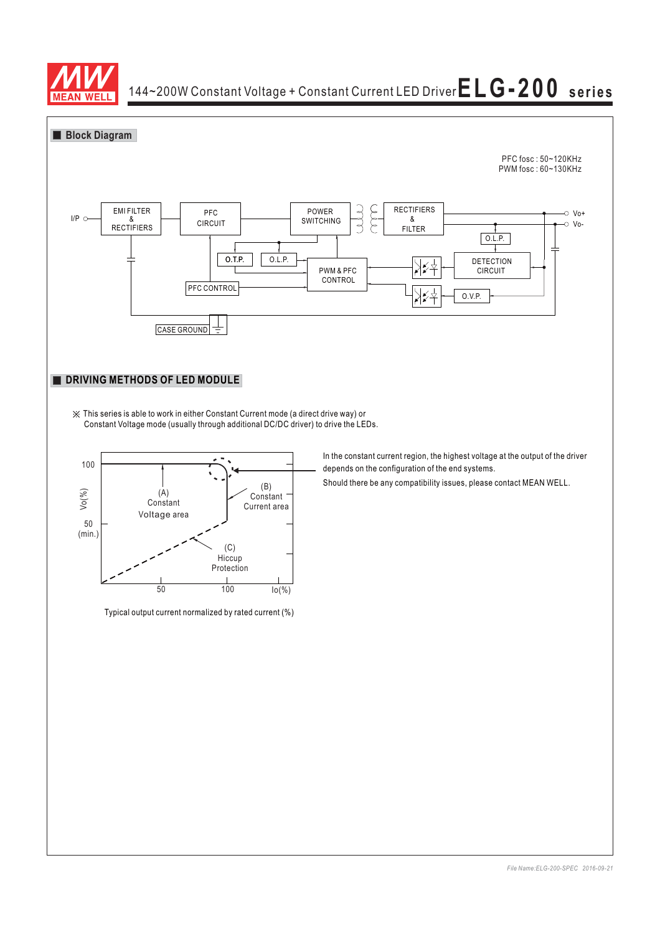



※ This series is able to work in either Constant Current mode (a direct drive way) or Constant Voltage mode (usually through additional DC/DC driver) to drive the LEDs.



Typical output current normalized by rated current (%)

In the constant current region, the highest voltage at the output of the driver depends on the configuration of the end systems.

Should there be any compatibility issues, please contact MEAN WELL.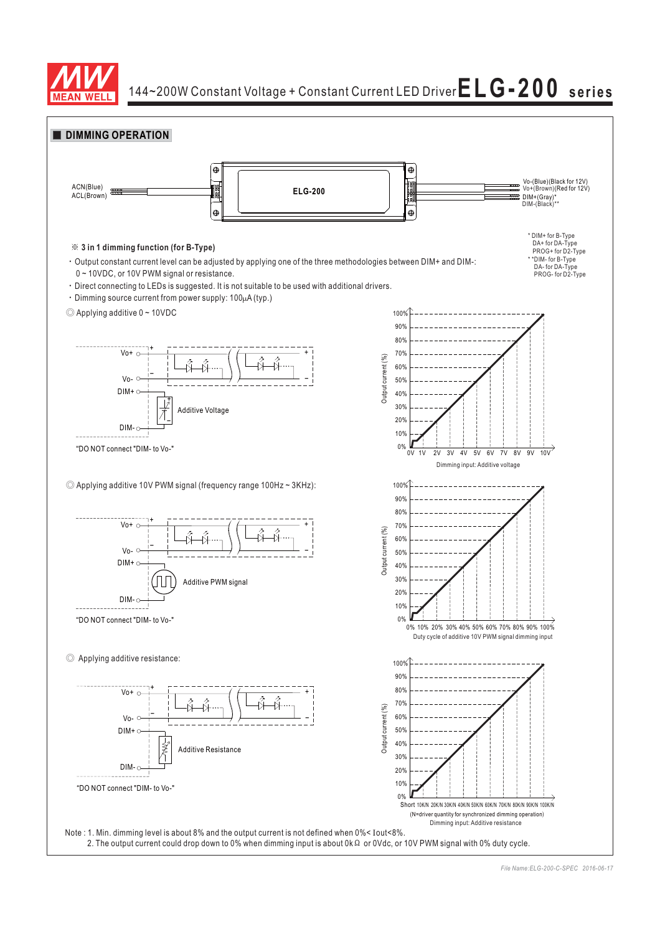

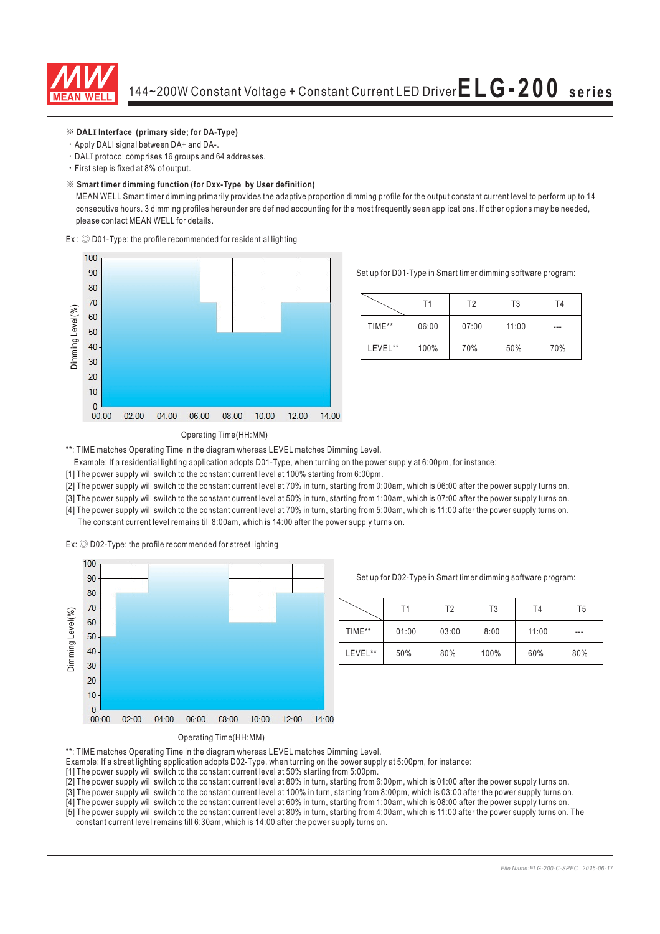

#### ※ **DAL Interface (primary side; for DA-Type) I**

- Apply DALI signal between DA+ and DA-.
- $\cdot$  DALI protocol comprises 16 groups and 64 addresses.
- First step is fixed at 8% of output.

#### ※ **Smart timer dimming function (for Dxx-Type by User definition)**

MEAN WELL Smart timer dimming primarily provides the adaptive proportion dimming profile for the output constant current level to perform up to 14 consecutive hours. 3 dimming profiles hereunder are defined accounting for the most frequently seen applications. If other options may be needed, please contact MEAN WELL for details.

 $Ex:$   $\odot$  D01-Type: the profile recommended for residential lighting



Set up for D01-Type in Smart timer dimming software program:

|         | Τ1    | T2    | T <sub>3</sub> | T4  |
|---------|-------|-------|----------------|-----|
| TIME**  | 06:00 | 07:00 | 11:00          | --- |
| LEVEL** | 100%  | 70%   | 50%            | 70% |

#### Operating Time(HH:MM)

\*\*: TIME matches Operating Time in the diagram whereas LEVEL matches Dimming Level.

Example: If a residential lighting application adopts D01-Type, when turning on the power supply at 6:00pm, for instance:

[1] The power supply will switch to the constant current level at 100% starting from 6:00pm.

[2] The power supply will switch to the constant current level at 70% in turn, starting from 0:00am, which is 06:00 after the power supply turns on.

[3] The power supply will switch to the constant current level at 50% in turn, starting from 1:00am, which is 07:00 after the power supply turns on.

[4] The power supply will switch to the constant current level at 70% in turn, starting from 5:00am, which is 11:00 after the power supply turns on. The constant current level remains till 8:00am, which is 14:00 after the power supply turns on.

Ex:  $\odot$  D02-Type: the profile recommended for street lighting



Set up for D02-Type in Smart timer dimming software program:

|         | Τ1    | Т2    | T3   | T <sub>4</sub> | T5    |
|---------|-------|-------|------|----------------|-------|
| TIME**  | 01:00 | 03:00 | 8:00 | 11:00          | $---$ |
| LEVEL** | 50%   | 80%   | 100% | 60%            | 80%   |

Operating Time(HH:MM)

- \*\*: TIME matches Operating Time in the diagram whereas LEVEL matches Dimming Level.
- Example: If a street lighting application adopts D02-Type, when turning on the power supply at 5:00pm, for instance:
- [1] The power supply will switch to the constant current level at 50% starting from 5:00pm.
- [2] The power supply will switch to the constant current level at 80% in turn, starting from 6:00pm, which is 01:00 after the power supply turns on.
- [3] The power supply will switch to the constant current level at 100% in turn, starting from 8:00pm, which is 03:00 after the power supply turns on.
- [4] The power supply will switch to the constant current level at 60% in turn, starting from 1:00am, which is 08:00 after the power supply turns on.
- [5] The power supply will switch to the constant current level at 80% in turn, starting from 4:00am, which is 11:00 after the power supply turns on. The constant current level remains till 6:30am, which is 14:00 after the power supply turns on.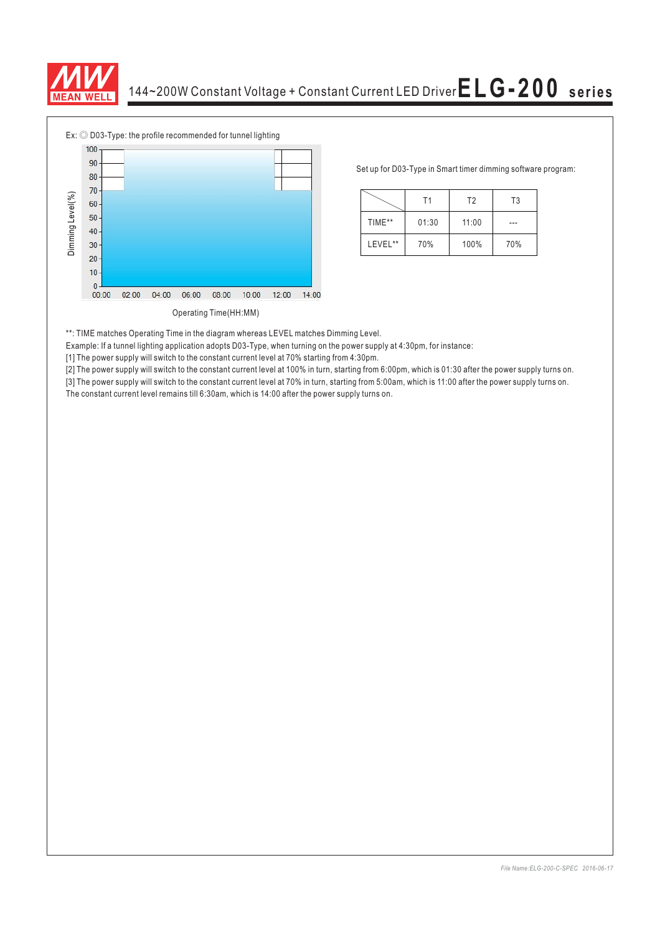



Set up for D03-Type in Smart timer dimming software program:

|         | Τ1    | T <sub>2</sub> | T <sub>3</sub> |  |
|---------|-------|----------------|----------------|--|
| TIME**  | 01:30 | 11:00          |                |  |
| LEVEL** | 70%   | 100%           | 70%            |  |

\*\*: TIME matches Operating Time in the diagram whereas LEVEL matches Dimming Level.

Example: If a tunnel lighting application adopts D03-Type, when turning on the power supply at 4:30pm, for instance:

[1] The power supply will switch to the constant current level at 70% starting from 4:30pm.

[2] The power supply will switch to the constant current level at 100% in turn, starting from 6:00pm, which is 01:30 after the power supply turns on.

[3] The power supply will switch to the constant current level at 70% in turn, starting from 5:00am, which is 11:00 after the power supply turns on.<br>The constant current level remains till 6:30am, which is 14:00 after the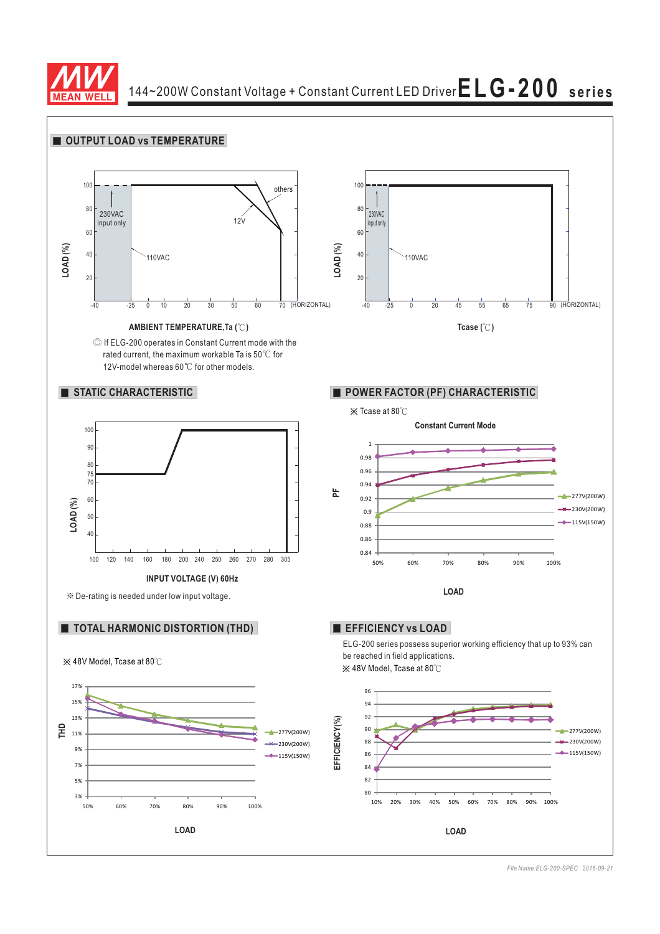

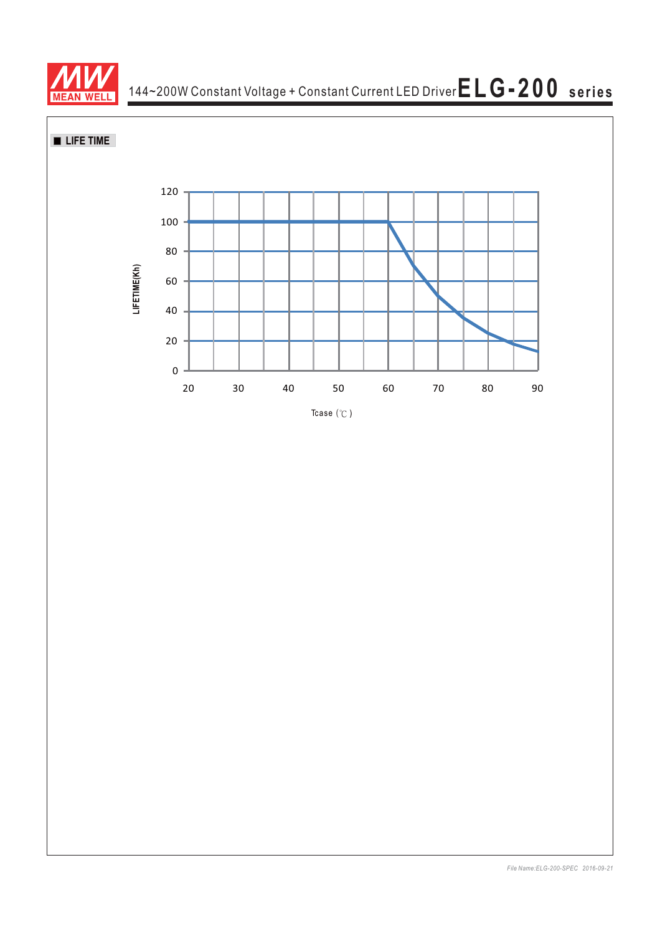



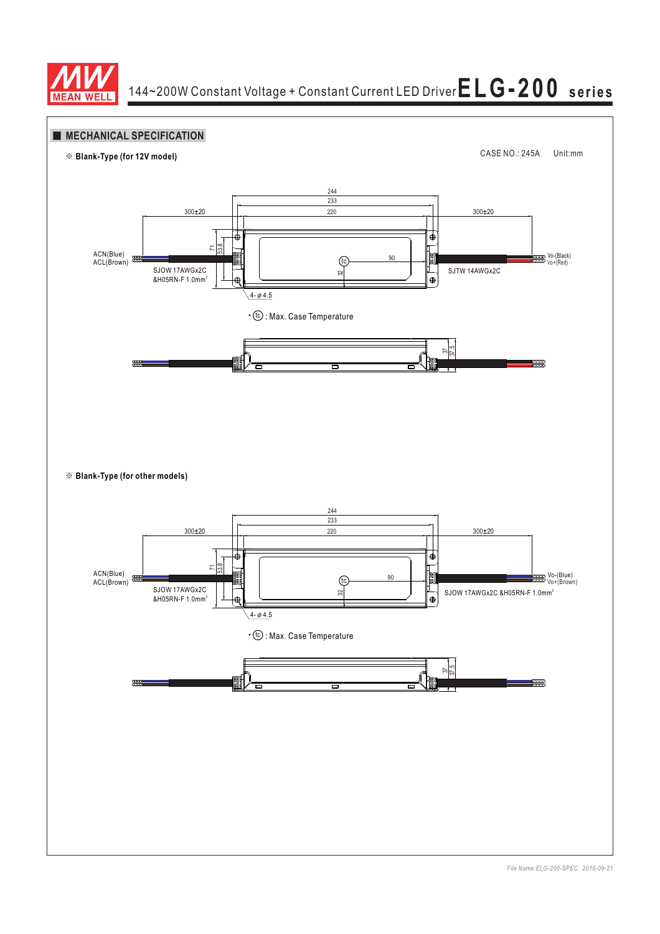

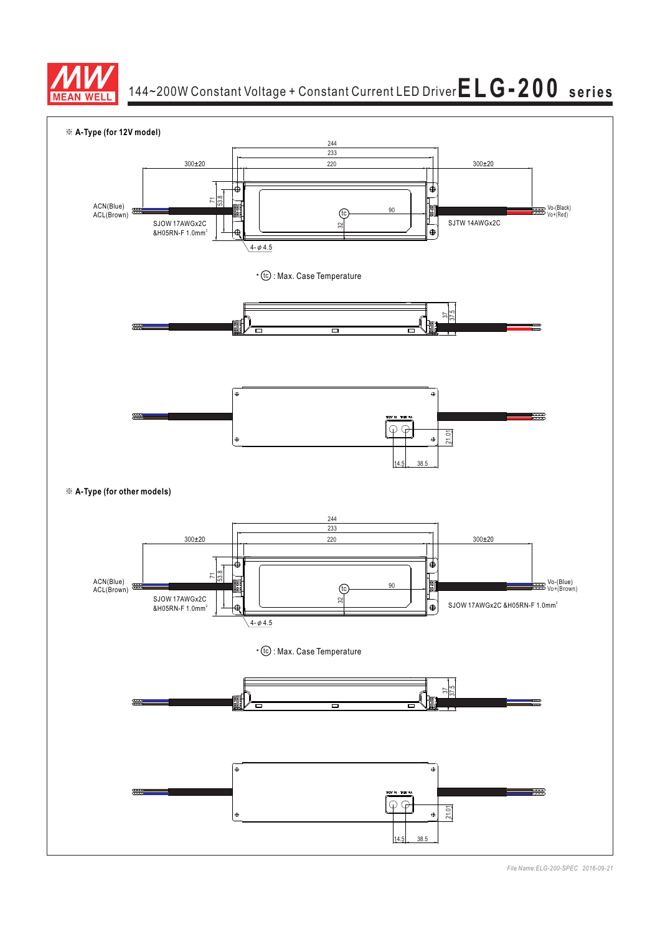